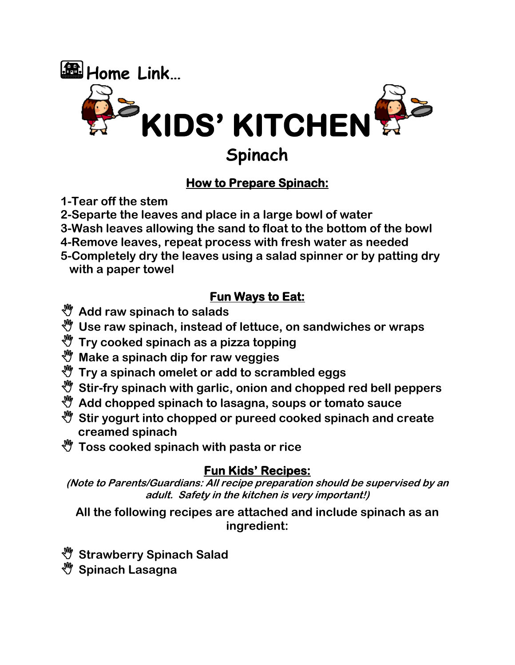

### **How to Prepare Spinach:**

- **1-Tear off the stem**
- **2-Separte the leaves and place in a large bowl of water**
- **3-Wash leaves allowing the sand to float to the bottom of the bowl**
- **4-Remove leaves, repeat process with fresh water as needed**
- **5-Completely dry the leaves using a salad spinner or by patting dry with a paper towel**

### **Fun Ways to Eat:**

- **Add raw spinach to salads**
- **Use raw spinach, instead of lettuce, on sandwiches or wraps**
- **Try cooked spinach as a pizza topping**
- **Make a spinach dip for raw veggies**
- **Try a spinach omelet or add to scrambled eggs**
- **Stir-fry spinach with garlic, onion and chopped red bell peppers**
- **Add chopped spinach to lasagna, soups or tomato sauce**
- **Stir yogurt into chopped or pureed cooked spinach and create creamed spinach**
- **Toss cooked spinach with pasta or rice**

### **Fun Kids' Recipes:**

**(Note to Parents/Guardians: All recipe preparation should be supervised by an adult. Safety in the kitchen is very important!)**

**All the following recipes are attached and include spinach as an ingredient:**

- **Strawberry Spinach Salad**
- **Spinach Lasagna**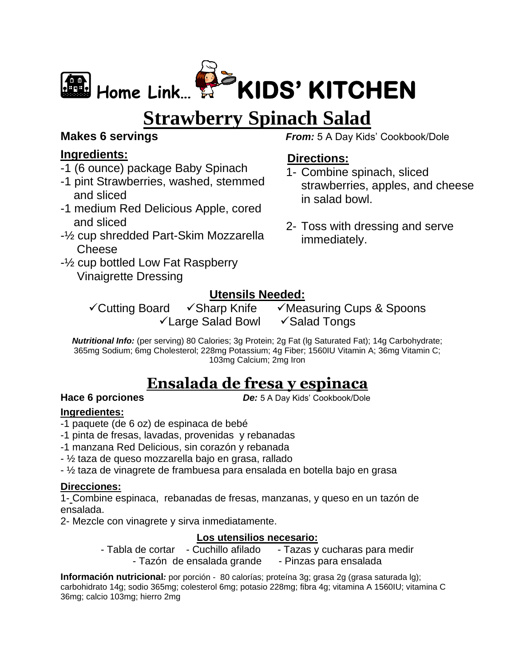

# **Strawberry Spinach Salad**

### **Makes 6 servings**

### **Ingredients:**

- -1 (6 ounce) package Baby Spinach
- -1 pint Strawberries, washed, stemmed and sliced
- -1 medium Red Delicious Apple, cored and sliced
- -½ cup shredded Part-Skim Mozzarella **Cheese**
- -½ cup bottled Low Fat Raspberry Vinaigrette Dressing

*From:* 5 A Day Kids' Cookbook/Dole

### **Directions:**

- 1- Combine spinach, sliced strawberries, apples, and cheese in salad bowl.
- 2- Toss with dressing and serve immediately.

### **Utensils Needed:**

✓Cutting Board ✓Sharp Knife ✓Measuring Cups & Spoons ✓Large Salad Bowl ✓Salad Tongs

*Nutritional Info:* (per serving) 80 Calories; 3g Protein; 2g Fat (lg Saturated Fat); 14g Carbohydrate; 365mg Sodium; 6mg Cholesterol; 228mg Potassium; 4g Fiber; 1560IU Vitamin A; 36mg Vitamin C; 103mg Calcium; 2mg Iron

## **Ensalada de fresa y espinaca**

**Hace 6 porciones** *De:* 5 A Day Kids' Cookbook/Dole

### **Ingredientes:**

- -1 paquete (de 6 oz) de espinaca de bebé
- -1 pinta de fresas, lavadas, provenidas y rebanadas
- -1 manzana Red Delicious, sin corazón y rebanada
- ½ taza de queso mozzarella bajo en grasa, rallado
- ½ taza de vinagrete de frambuesa para ensalada en botella bajo en grasa

### **Direcciones:**

1- Combine espinaca, rebanadas de fresas, manzanas, y queso en un tazón de ensalada.

2- Mezcle con vinagrete y sirva inmediatamente.

### **Los utensilios necesario:**

- Tabla de cortar - Cuchillo afilado - Tazas y cucharas para medir

- Tazón de ensalada grande - Pinzas para ensalada

**Información nutricional***:* por porción - 80 calorías; proteína 3g; grasa 2g (grasa saturada lg); carbohidrato 14g; sodio 365mg; colesterol 6mg; potasio 228mg; fibra 4g; vitamina A 1560IU; vitamina C 36mg; calcio 103mg; hierro 2mg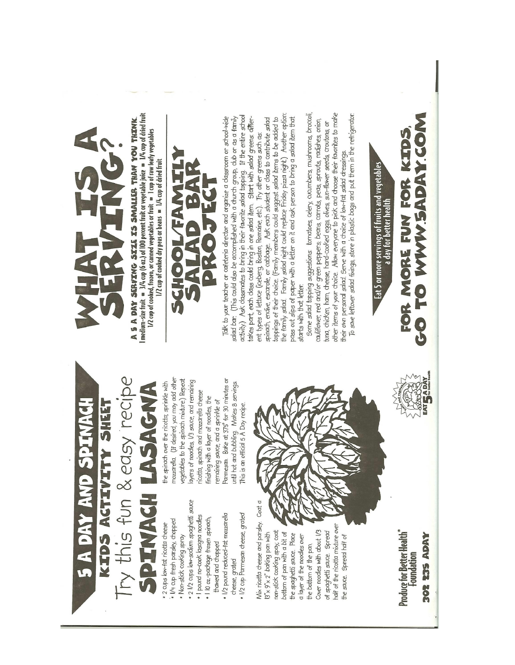Fy this fun & easy recipe SPINAGH LASAGNA **S A DAY AND SPITNACH** KIDS ACTIVITY SHEET

1/4 cup fresh parsley, chopped 2 cups low-fat ricotta cheese

- Non-stick cooking spray
- 2 l/2 cups low-sodium spaghetti sauce
	- · I pound no-cook lasagna noodles
		- · 110 oz.-package frozen spinach,
- l/2 pound reduced-fat mozzarella thawed and chopped
- 1/2 cup Parmesan cheese, grated cheese, grated

Mix ricotta cheese and parsley. Coat a half of the ricotta mixture over Cover noodles with about 1/3 non-stick cooking spay, coat of spaghetti sauce. Spread bottom of pan with a bit of  $13'' \times 9'' \times 2''$  baking pan with the spaghetti sauce. Place a layer of the noodles over the sauce. Spread half of the bottom of the pan.

Produce for Better Health"<br>Foundation **302 235 ADAY** 









the family salad. Family salad night could replace Friday pizza night.) Another option: Talk to your teacher or cafeteria director and organize a classroom or school-wide activity.) Ask classmates to bring in their favorite salad topping. If the entire school takes part, each class could bring in one salad item, Start with salad greens differ-<br>ent types of lettuce (iceberg, Boston, Romaine, etc.), Try other greens such as: spinach, endive, escarole, or cabbage. Ask each student or class to contribute salad toppings of their choice. (Family members could suggest salad items to be added to pass out slips of paper with a letter on it and ask person to bring a salad item that salad bar. (This could also be accomplished with a church group, club or as a family

Some salad topping suggestions: tomatoes, celery, cucumbers, mushrooms, broccoli, other items of your choice. Allow everyone to pick and choose their favorites to make To save leftover salad fixings, store in plastic bags and put them in the refrigerator cauliflower, red and/or green peppers, beans, carrots, peas, sprouts, radishes, onion, tuna, chicken, ham, cheese, hard-cooked eggs, olives, sun-flower seeds, croutons, or their own personal salad. Serve with a choice of low-fat salad dressings. starts with that letter.

FOR MORE FUN FOR KIDS,<br>O TO WWW.5ADAY.COM Eat 5 or more servings of fruits and vegetables<br>a day for better health

CCO

AT SADAY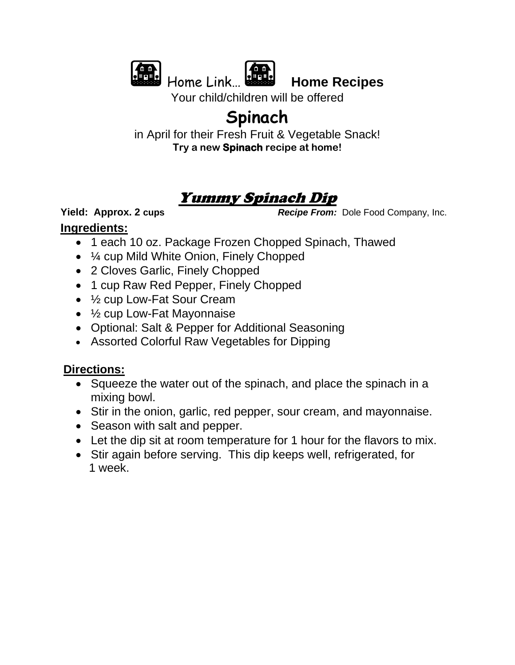



Home Link… **Home Recipes**

Your child/children will be offered

## **Spinach**

in April for their Fresh Fruit & Vegetable Snack! **Try a new Spinach recipe at home!**

## Yummy Spinach Dip

**Ingredients:** 

**Yield: Approx. 2 cups** *Recipe From:* **Dole Food Company, Inc.** 

- 1 each 10 oz. Package Frozen Chopped Spinach, Thawed
- ¼ cup Mild White Onion, Finely Chopped
- 2 Cloves Garlic, Finely Chopped
- 1 cup Raw Red Pepper, Finely Chopped
- ½ cup Low-Fat Sour Cream
- $\frac{1}{2}$  cup Low-Fat Mayonnaise
- Optional: Salt & Pepper for Additional Seasoning
- Assorted Colorful Raw Vegetables for Dipping

### **Directions:**

- Squeeze the water out of the spinach, and place the spinach in a mixing bowl.
- Stir in the onion, garlic, red pepper, sour cream, and mayonnaise.
- Season with salt and pepper.
- Let the dip sit at room temperature for 1 hour for the flavors to mix.
- Stir again before serving. This dip keeps well, refrigerated, for 1 week.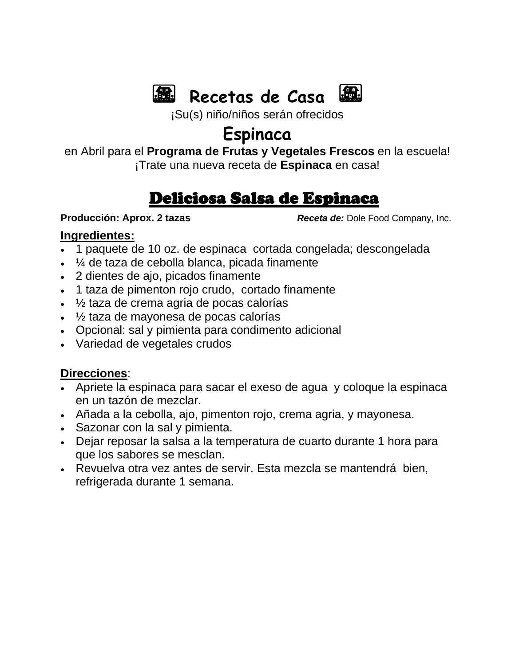



¡Su(s) niño/niños serán ofrecidos

## **Espinaca**

en Abril para el **Programa de Frutas y Vegetales Frescos** en la escuela!

¡Trate una nueva receta de **Espinaca** en casa!

## Deliciosa Salsa de Espinaca

**Producción: Aprox. 2 tazas** *Receta de: Dole Food Company, Inc.* 

### **Ingredientes:**

- 1 paquete de 10 oz. de espinaca cortada congelada; descongelada
- ¼ de taza de cebolla blanca, picada finamente
- 2 dientes de ajo, picados finamente
- 1 taza de pimenton rojo crudo, cortado finamente
- ½ taza de crema agria de pocas calorías
- ½ taza de mayonesa de pocas calorías
- Opcional: sal y pimienta para condimento adicional
- Variedad de vegetales crudos

### **Direcciones**:

- Apriete la espinaca para sacar el exeso de agua y coloque la espinaca en un tazón de mezclar.
- Añada a la cebolla, ajo, pimenton rojo, crema agria, y mayonesa.
- Sazonar con la sal y pimienta.
- Dejar reposar la salsa a la temperatura de cuarto durante 1 hora para que los sabores se mesclan.
- Revuelva otra vez antes de servir. Esta mezcla se mantendrá bien, refrigerada durante 1 semana.